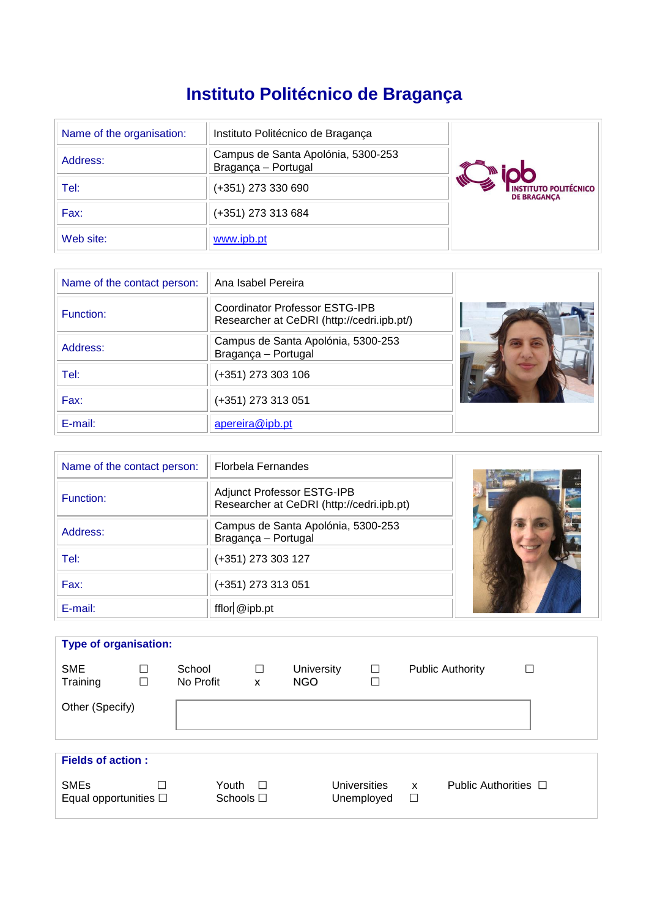# **Instituto Politécnico de Bragança**

| Name of the organisation: | Instituto Politécnico de Bragança                         |                                                    |  |  |  |
|---------------------------|-----------------------------------------------------------|----------------------------------------------------|--|--|--|
| Address:                  | Campus de Santa Apolónia, 5300-253<br>Bragança - Portugal |                                                    |  |  |  |
| Tel:                      | (+351) 273 330 690                                        | <b>INSTITUTO POLITÉCNICO</b><br><b>DE BRAGANCA</b> |  |  |  |
| Fax:                      | (+351) 273 313 684                                        |                                                    |  |  |  |
| Web site:                 | www.ipb.pt                                                |                                                    |  |  |  |

| Name of the contact person: | Ana Isabel Pereira                                                                  |  |
|-----------------------------|-------------------------------------------------------------------------------------|--|
| Function:                   | <b>Coordinator Professor ESTG-IPB</b><br>Researcher at CeDRI (http://cedri.ipb.pt/) |  |
| Address:                    | Campus de Santa Apolónia, 5300-253<br>Bragança - Portugal                           |  |
| Tel:                        | (+351) 273 303 106                                                                  |  |
| Fax:                        | (+351) 273 313 051                                                                  |  |
| E-mail:                     | apereira@ipb.pt                                                                     |  |

| Name of the contact person: | <b>Florbela Fernandes</b>                                               |  |
|-----------------------------|-------------------------------------------------------------------------|--|
| Function:                   | Adjunct Professor ESTG-IPB<br>Researcher at CeDRI (http://cedri.ipb.pt) |  |
| Address:                    | Campus de Santa Apolónia, 5300-253<br>Bragança - Portugal               |  |
| Tel:                        | (+351) 273 303 127                                                      |  |
| Fax:                        | (+351) 273 313 051                                                      |  |
| E-mail:                     | fflor @ipb.pt                                                           |  |

| <b>Type of organisation:</b>                 |             |                         |             |                                 |                                   |             |        |                           |  |
|----------------------------------------------|-------------|-------------------------|-------------|---------------------------------|-----------------------------------|-------------|--------|---------------------------|--|
| <b>SME</b><br>Training                       | □<br>$\Box$ | School<br>No Profit     | $\Box$<br>X | <b>University</b><br><b>NGO</b> |                                   | $\Box$<br>□ |        | <b>Public Authority</b>   |  |
| Other (Specify)                              |             |                         |             |                                 |                                   |             |        |                           |  |
|                                              |             |                         |             |                                 |                                   |             |        |                           |  |
| <b>Fields of action:</b>                     |             |                         |             |                                 |                                   |             |        |                           |  |
| <b>SMEs</b><br>Equal opportunities $\square$ | П           | Youth<br>Schools $\Box$ | $\Box$      |                                 | <b>Universities</b><br>Unemployed |             | X<br>□ | Public Authorities $\Box$ |  |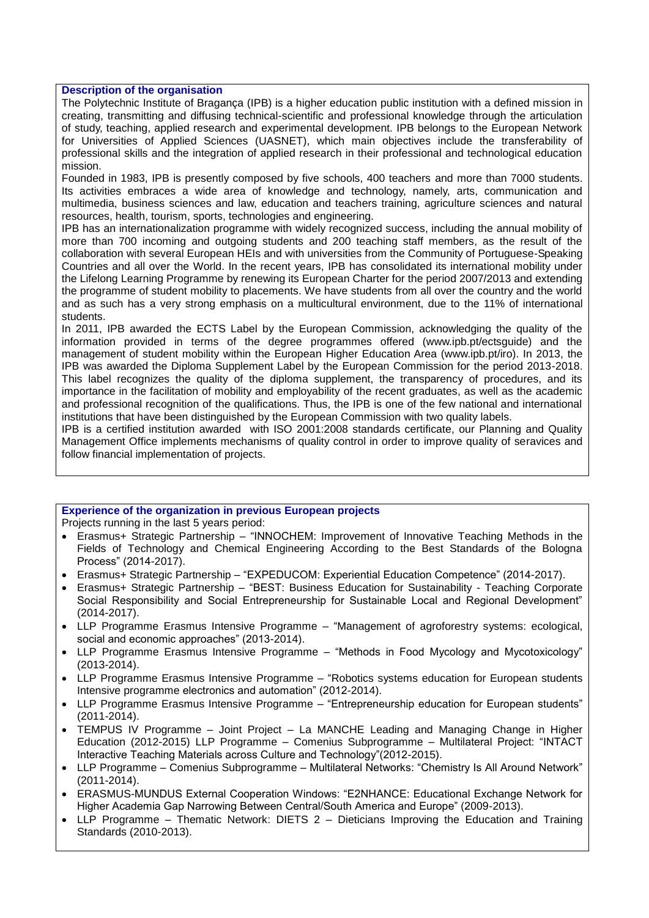# **Description of the organisation**

The Polytechnic Institute of Bragança (IPB) is a higher education public institution with a defined mission in creating, transmitting and diffusing technical-scientific and professional knowledge through the articulation of study, teaching, applied research and experimental development. IPB belongs to the European Network for Universities of Applied Sciences (UASNET), which main objectives include the transferability of professional skills and the integration of applied research in their professional and technological education mission.

Founded in 1983, IPB is presently composed by five schools, 400 teachers and more than 7000 students. Its activities embraces a wide area of knowledge and technology, namely, arts, communication and multimedia, business sciences and law, education and teachers training, agriculture sciences and natural resources, health, tourism, sports, technologies and engineering.

IPB has an internationalization programme with widely recognized success, including the annual mobility of more than 700 incoming and outgoing students and 200 teaching staff members, as the result of the collaboration with several European HEIs and with universities from the Community of Portuguese-Speaking Countries and all over the World. In the recent years, IPB has consolidated its international mobility under the Lifelong Learning Programme by renewing its European Charter for the period 2007/2013 and extending the programme of student mobility to placements. We have students from all over the country and the world and as such has a very strong emphasis on a multicultural environment, due to the 11% of international students.

In 2011, IPB awarded the ECTS Label by the European Commission, acknowledging the quality of the information provided in terms of the degree programmes offered (www.ipb.pt/ectsguide) and the management of student mobility within the European Higher Education Area (www.ipb.pt/iro). In 2013, the IPB was awarded the Diploma Supplement Label by the European Commission for the period 2013-2018. This label recognizes the quality of the diploma supplement, the transparency of procedures, and its importance in the facilitation of mobility and employability of the recent graduates, as well as the academic and professional recognition of the qualifications. Thus, the IPB is one of the few national and international institutions that have been distinguished by the European Commission with two quality labels.

IPB is a certified institution awarded with ISO 2001:2008 standards certificate, our Planning and Quality Management Office implements mechanisms of quality control in order to improve quality of seravices and follow financial implementation of projects.

### **Experience of the organization in previous European projects**

Projects running in the last 5 years period:

- Erasmus+ Strategic Partnership "INNOCHEM: Improvement of Innovative Teaching Methods in the Fields of Technology and Chemical Engineering According to the Best Standards of the Bologna Process" (2014-2017).
- Erasmus+ Strategic Partnership "EXPEDUCOM: Experiential Education Competence" (2014-2017).
- Erasmus+ Strategic Partnership "BEST: Business Education for Sustainability Teaching Corporate Social Responsibility and Social Entrepreneurship for Sustainable Local and Regional Development" (2014-2017).
- LLP Programme Erasmus Intensive Programme "Management of agroforestry systems: ecological, social and economic approaches" (2013-2014).
- LLP Programme Erasmus Intensive Programme "Methods in Food Mycology and Mycotoxicology" (2013-2014).
- LLP Programme Erasmus Intensive Programme "Robotics systems education for European students Intensive programme electronics and automation" (2012-2014).
- LLP Programme Erasmus Intensive Programme "Entrepreneurship education for European students" (2011-2014).
- TEMPUS IV Programme Joint Project La MANCHE Leading and Managing Change in Higher Education (2012-2015) LLP Programme – Comenius Subprogramme – Multilateral Project: "INTACT Interactive Teaching Materials across Culture and Technology"(2012-2015).
- LLP Programme Comenius Subprogramme Multilateral Networks: "Chemistry Is All Around Network" (2011-2014).
- ERASMUS-MUNDUS External Cooperation Windows: "E2NHANCE: Educational Exchange Network for Higher Academia Gap Narrowing Between Central/South America and Europe" (2009-2013).
- LLP Programme Thematic Network: DIETS 2 Dieticians Improving the Education and Training Standards (2010-2013).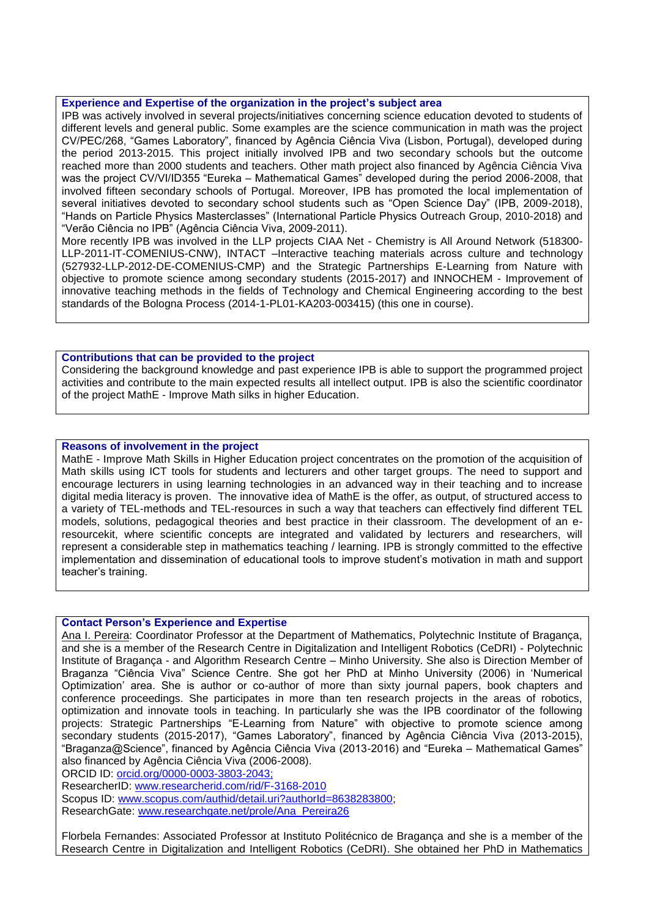### **Experience and Expertise of the organization in the project's subject area**

IPB was actively involved in several projects/initiatives concerning science education devoted to students of different levels and general public. Some examples are the science communication in math was the project CV/PEC/268, "Games Laboratory", financed by Agência Ciência Viva (Lisbon, Portugal), developed during the period 2013-2015. This project initially involved IPB and two secondary schools but the outcome reached more than 2000 students and teachers. Other math project also financed by Agência Ciência Viva was the project CV/VI/ID355 "Eureka – Mathematical Games" developed during the period 2006-2008, that involved fifteen secondary schools of Portugal. Moreover, IPB has promoted the local implementation of several initiatives devoted to secondary school students such as "Open Science Day" (IPB, 2009-2018), "Hands on Particle Physics Masterclasses" (International Particle Physics Outreach Group, 2010-2018) and "Verão Ciência no IPB" (Agência Ciência Viva, 2009-2011).

More recently IPB was involved in the LLP projects CIAA Net - Chemistry is All Around Network (518300- LLP-2011-IT-COMENIUS-CNW), INTACT –Interactive teaching materials across culture and technology (527932-LLP-2012-DE-COMENIUS-CMP) and the Strategic Partnerships E-Learning from Nature with objective to promote science among secondary students (2015-2017) and INNOCHEM - Improvement of innovative teaching methods in the fields of Technology and Chemical Engineering according to the best standards of the Bologna Process (2014-1-PL01-KA203-003415) (this one in course).

### **Contributions that can be provided to the project**

Considering the background knowledge and past experience IPB is able to support the programmed project activities and contribute to the main expected results all intellect output. IPB is also the scientific coordinator of the project MathE - Improve Math silks in higher Education.

## **Reasons of involvement in the project**

MathE - Improve Math Skills in Higher Education project concentrates on the promotion of the acquisition of Math skills using ICT tools for students and lecturers and other target groups. The need to support and encourage lecturers in using learning technologies in an advanced way in their teaching and to increase digital media literacy is proven. The innovative idea of MathE is the offer, as output, of structured access to a variety of TEL-methods and TEL-resources in such a way that teachers can effectively find different TEL models, solutions, pedagogical theories and best practice in their classroom. The development of an eresourcekit, where scientific concepts are integrated and validated by lecturers and researchers, will represent a considerable step in mathematics teaching / learning. IPB is strongly committed to the effective implementation and dissemination of educational tools to improve student's motivation in math and support teacher's training.

#### **Contact Person's Experience and Expertise**

Ana I. Pereira: Coordinator Professor at the Department of Mathematics, Polytechnic Institute of Bragança, and she is a member of the Research Centre in Digitalization and Intelligent Robotics (CeDRI) - Polytechnic Institute of Bragança - and Algorithm Research Centre – Minho University. She also is Direction Member of Braganza "Ciência Viva" Science Centre. She got her PhD at Minho University (2006) in 'Numerical Optimization' area. She is author or co-author of more than sixty journal papers, book chapters and conference proceedings. She participates in more than ten research projects in the areas of robotics, optimization and innovate tools in teaching. In particularly she was the IPB coordinator of the following projects: Strategic Partnerships "E-Learning from Nature" with objective to promote science among secondary students (2015-2017), "Games Laboratory", financed by Agência Ciência Viva (2013-2015), "Braganza@Science", financed by Agência Ciência Viva (2013-2016) and "Eureka – Mathematical Games" also financed by Agência Ciência Viva (2006-2008).

ORCID ID: orcid.org/0000-0003-3803-2043;

ResearcherID: [www.researcherid.com/rid/F-3168-2010](http://www.researcherid.com/rid/F-3168-2010)

Scopus ID: [www.scopus.com/authid/detail.uri?authorId=8638283800;](http://www.scopus.com/authid/detail.uri?authorId=8638283800)

ResearchGate: [www.researchgate.net/prole/Ana\\_Pereira26](http://www.researchgate.net/prole/Ana_Pereira26)

Florbela Fernandes: Associated Professor at Instituto Politécnico de Bragança and she is a member of the Research Centre in Digitalization and Intelligent Robotics (CeDRI). She obtained her PhD in Mathematics